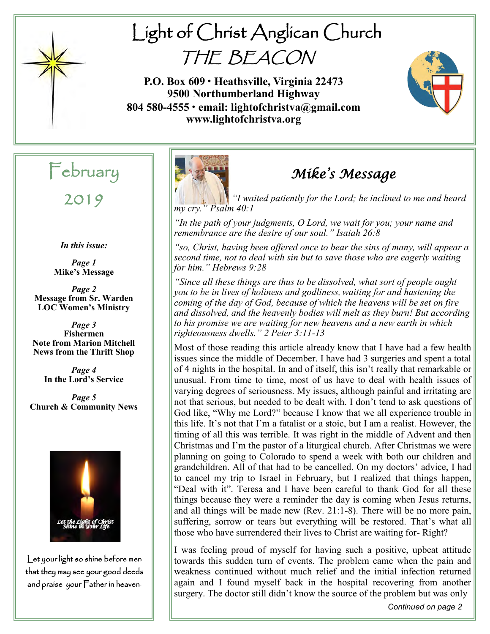

# Light of Christ Anglican Church THE BEACON

**P.O. Box 609 • Heathsville, Virginia 22473 9500 Northumberland Highway 804 580-4555 • email: lightofchristva@gmail.com www.lightofchristva.org**



# February

2019

*In this issue:*

*Page 1* **Mike's Message**

*Page 2* **Message from Sr. Warden LOC Women's Ministry**

*Page 3* **Fishermen Note from Marion Mitchell News from the Thrift Shop**

> *Page 4* **In the Lord's Service**

*Page 5* **Church & Community News**



Let your light so shine before men that they may see your good deeds and praise your Father in heaven.



## *Mike's Message*

*"I waited patiently for the Lord; he inclined to me and heard my cry." Psalm 40:1*

*"In the path of your judgments, O Lord, we wait for you; your name and remembrance are the desire of our soul." Isaiah 26:8*

*"so, Christ, having been offered once to bear the sins of many, will appear a second time, not to deal with sin but to save those who are eagerly waiting for him." Hebrews 9:28*

*"Since all these things are thus to be dissolved, what sort of people ought you to be in lives of holiness and godliness, waiting for and hastening the coming of the day of God, because of which the heavens will be set on fire and dissolved, and the heavenly bodies will melt as they burn! But according to his promise we are waiting for new heavens and a new earth in which righteousness dwells." 2 Peter 3:11-13*

Most of those reading this article already know that I have had a few health issues since the middle of December. I have had 3 surgeries and spent a total of 4 nights in the hospital. In and of itself, this isn't really that remarkable or unusual. From time to time, most of us have to deal with health issues of varying degrees of seriousness. My issues, although painful and irritating are not that serious, but needed to be dealt with. I don't tend to ask questions of God like, "Why me Lord?" because I know that we all experience trouble in this life. It's not that I'm a fatalist or a stoic, but I am a realist. However, the timing of all this was terrible. It was right in the middle of Advent and then Christmas and I'm the pastor of a liturgical church. After Christmas we were planning on going to Colorado to spend a week with both our children and grandchildren. All of that had to be cancelled. On my doctors' advice, I had to cancel my trip to Israel in February, but I realized that things happen, "Deal with it". Teresa and I have been careful to thank God for all these things because they were a reminder the day is coming when Jesus returns, and all things will be made new (Rev. 21:1-8). There will be no more pain, suffering, sorrow or tears but everything will be restored. That's what all those who have surrendered their lives to Christ are waiting for- Right?

I was feeling proud of myself for having such a positive, upbeat attitude towards this sudden turn of events. The problem came when the pain and weakness continued without much relief and the initial infection returned again and I found myself back in the hospital recovering from another surgery. The doctor still didn't know the source of the problem but was only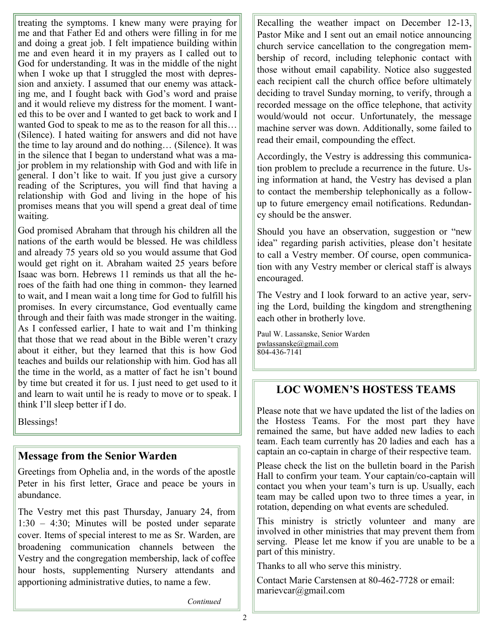treating the symptoms. I knew many were praying for me and that Father Ed and others were filling in for me and doing a great job. I felt impatience building within me and even heard it in my prayers as I called out to God for understanding. It was in the middle of the night when I woke up that I struggled the most with depression and anxiety. I assumed that our enemy was attacking me, and I fought back with God's word and praise and it would relieve my distress for the moment. I wanted this to be over and I wanted to get back to work and I wanted God to speak to me as to the reason for all this… (Silence). I hated waiting for answers and did not have the time to lay around and do nothing… (Silence). It was in the silence that I began to understand what was a major problem in my relationship with God and with life in general. I don't like to wait. If you just give a cursory reading of the Scriptures, you will find that having a relationship with God and living in the hope of his promises means that you will spend a great deal of time waiting.

God promised Abraham that through his children all the nations of the earth would be blessed. He was childless and already 75 years old so you would assume that God would get right on it. Abraham waited 25 years before Isaac was born. Hebrews 11 reminds us that all the heroes of the faith had one thing in common- they learned to wait, and I mean wait a long time for God to fulfill his promises. In every circumstance, God eventually came through and their faith was made stronger in the waiting. As I confessed earlier, I hate to wait and I'm thinking that those that we read about in the Bible weren't crazy about it either, but they learned that this is how God teaches and builds our relationship with him. God has all the time in the world, as a matter of fact he isn't bound by time but created it for us. I just need to get used to it and learn to wait until he is ready to move or to speak. I think I'll sleep better if I do.

Blessings!

### **Message from the Senior Warden**

Greetings from Ophelia and, in the words of the apostle Peter in his first letter, Grace and peace be yours in abundance.

The Vestry met this past Thursday, January 24, from 1:30 – 4:30; Minutes will be posted under separate cover. Items of special interest to me as Sr. Warden, are broadening communication channels between the Vestry and the congregation membership, lack of coffee hour hosts, supplementing Nursery attendants and apportioning administrative duties, to name a few.

Recalling the weather impact on December 12-13, Pastor Mike and I sent out an email notice announcing church service cancellation to the congregation membership of record, including telephonic contact with those without email capability. Notice also suggested each recipient call the church office before ultimately deciding to travel Sunday morning, to verify, through a recorded message on the office telephone, that activity would/would not occur. Unfortunately, the message machine server was down. Additionally, some failed to read their email, compounding the effect.

Accordingly, the Vestry is addressing this communication problem to preclude a recurrence in the future. Using information at hand, the Vestry has devised a plan to contact the membership telephonically as a followup to future emergency email notifications. Redundancy should be the answer.

Should you have an observation, suggestion or "new idea" regarding parish activities, please don't hesitate to call a Vestry member. Of course, open communication with any Vestry member or clerical staff is always encouraged.

The Vestry and I look forward to an active year, serving the Lord, building the kingdom and strengthening each other in brotherly love.

Paul W. Lassanske, Senior Warden [pwlassanske@gmail.com](mailto:pwlassanske@gmail.com)  $804 - 436 - 7141$ 

## **LOC WOMEN'S HOSTESS TEAMS**

Please note that we have updated the list of the ladies on the Hostess Teams. For the most part they have remained the same, but have added new ladies to each team. Each team currently has 20 ladies and each has a captain an co-captain in charge of their respective team.

Please check the list on the bulletin board in the Parish Hall to confirm your team. Your captain/co-captain will contact you when your team's turn is up. Usually, each team may be called upon two to three times a year, in rotation, depending on what events are scheduled.

This ministry is strictly volunteer and many are involved in other ministries that may prevent them from serving. Please let me know if you are unable to be a part of this ministry.

Thanks to all who serve this ministry.

Contact Marie Carstensen at 80-462-7728 or email: marievcar@gmail.com

*Continued*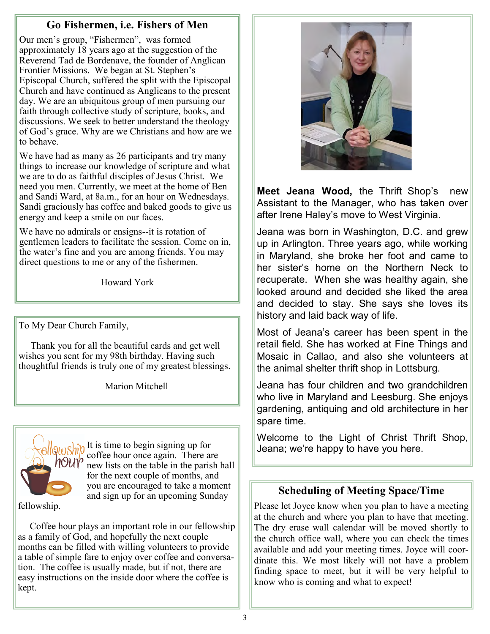### **Go Fishermen, i.e. Fishers of Men**

Our men's group, "Fishermen", was formed approximately 18 years ago at the suggestion of the Reverend Tad de Bordenave, the founder of Anglican Frontier Missions. We began at St. Stephen's Episcopal Church, suffered the split with the Episcopal Church and have continued as Anglicans to the present day. We are an ubiquitous group of men pursuing our faith through collective study of scripture, books, and discussions. We seek to better understand the theology of God's grace. Why are we Christians and how are we to behave.

We have had as many as 26 participants and try many things to increase our knowledge of scripture and what we are to do as faithful disciples of Jesus Christ. We need you men. Currently, we meet at the home of Ben and Sandi Ward, at 8a.m., for an hour on Wednesdays. Sandi graciously has coffee and baked goods to give us energy and keep a smile on our faces.

We have no admirals or ensigns--it is rotation of gentlemen leaders to facilitate the session. Come on in, the water's fine and you are among friends. You may direct questions to me or any of the fishermen.

Howard York

To My Dear Church Family,

 Thank you for all the beautiful cards and get well wishes you sent for my 98th birthday. Having such thoughtful friends is truly one of my greatest blessings.

Marion Mitchell



 $\frac{\partial u}{\partial \theta}$  It is time to begin signing up for coffee hour once again. There are  $\frac{1}{2}$  new lists on the table in the parish hall for the next couple of months, and you are encouraged to take a moment and sign up for an upcoming Sunday

fellowship.

 Coffee hour plays an important role in our fellowship as a family of God, and hopefully the next couple months can be filled with willing volunteers to provide a table of simple fare to enjoy over coffee and conversation. The coffee is usually made, but if not, there are easy instructions on the inside door where the coffee is kept.



**Meet Jeana Wood,** the Thrift Shop's new Assistant to the Manager, who has taken over after Irene Haley's move to West Virginia.

Jeana was born in Washington, D.C. and grew up in Arlington. Three years ago, while working in Maryland, she broke her foot and came to her sister's home on the Northern Neck to recuperate. When she was healthy again, she looked around and decided she liked the area and decided to stay. She says she loves its history and laid back way of life.

Most of Jeana's career has been spent in the retail field. She has worked at Fine Things and Mosaic in Callao, and also she volunteers at the animal shelter thrift shop in Lottsburg.

Jeana has four children and two grandchildren who live in Maryland and Leesburg. She enjoys gardening, antiquing and old architecture in her spare time.

Welcome to the Light of Christ Thrift Shop, Jeana; we're happy to have you here.

### **Scheduling of Meeting Space/Time**

Please let Joyce know when you plan to have a meeting at the church and where you plan to have that meeting. The dry erase wall calendar will be moved shortly to the church office wall, where you can check the times available and add your meeting times. Joyce will coordinate this. We most likely will not have a problem finding space to meet, but it will be very helpful to know who is coming and what to expect!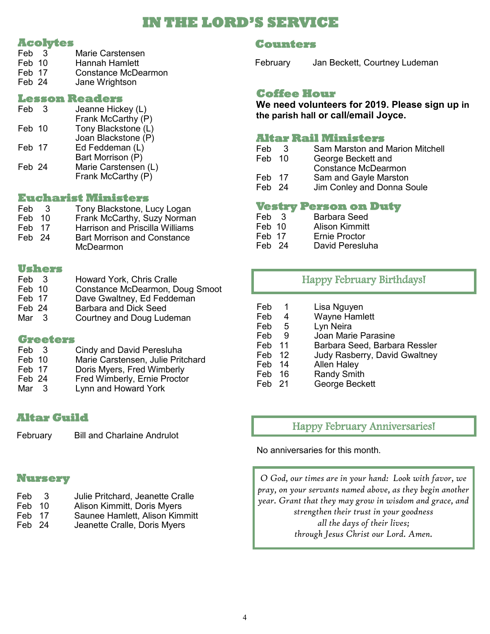## **IN THE LORD'S SERVICE**

#### **Acolytes**

- Feb 3 Marie Carstensen<br>Feb 10 Hannah Hamlett Hannah Hamlett Feb 17 Constance McDearmon
- Feb 24 Jane Wrightson

#### **Lesson Readers**

| Feb    | 3 | Jeanne Hickey (L)                          |
|--------|---|--------------------------------------------|
| Feb 10 |   | Frank McCarthy (P)<br>Tony Blackstone (L)  |
|        |   | Joan Blackstone (P)                        |
| Feb 17 |   | Ed Feddeman (L)<br>Bart Morrison (P)       |
| Feb 24 |   | Marie Carstensen (L)<br>Frank McCarthy (P) |

#### **Eucharist Ministers**

| Feb    | -3 | Tony Blackstone, Lucy Logan            |
|--------|----|----------------------------------------|
| Feb 10 |    | Frank McCarthy, Suzy Norman            |
| Feb 17 |    | <b>Harrison and Priscilla Williams</b> |
| Feb 24 |    | <b>Bart Morrison and Constance</b>     |
|        |    | McDearmon                              |

#### **Ushers**

| Feb 3  | Howard York, Chris Cralle       |
|--------|---------------------------------|
| Feb 10 | Constance McDearmon, Doug Smoot |
| Feb 17 | Dave Gwaltney, Ed Feddeman      |
| Feb 24 | Barbara and Dick Seed           |
| Mar 3  | Courtney and Doug Ludeman       |

#### **Greeters**

- Feb 3 Cindy and David Peresluha Feb 10 Marie Carstensen, Julie Pritchard<br>Feb 17 Doris Mvers. Fred Wimberly
- Feb 17 Doris Myers, Fred Wimberly<br>Feb 24 Fred Wimberly Frnie Procto
- Feb 24 Fred Wimberly, Ernie Proctor<br>Mar 3 Lynn and Howard York
- Lynn and Howard York

### **Altar Guild**

February Bill and Charlaine Andrulot

### **Nursery**

- Feb 3 Julie Pritchard, Jeanette Cralle
- Feb 10 Alison Kimmitt, Doris Myers
- Feb 17 Saunee Hamlett, Alison Kimmitt
- Feb 24 Jeanette Cralle, Doris Myers

#### **Counters**

February Jan Beckett, Courtney Ludeman

#### **Coffee Hour**

**We need volunteers for 2019. Please sign up in the parish hall or call/email Joyce.**

#### **Altar Rail Ministers**

Feb 3 Sam Marston and Marion Mitchell<br>Feb 10 George Beckett and George Beckett and Constance McDearmon Feb 17 Sam and Gayle Marston Feb 24 Jim Conley and Donna Soule

## **Vestry Person on Duty**

- Feb 3 Barbara Seed<br>Feb 10 Alison Kimmitt
- Feb 10 Alison Kimmitt<br>Feb 17 Frnie Proctor
- Frnie Proctor
- Feb 24 David Peresluha

### Happy February Birthdays!

Feb 1 Lisa Nguyen<br>Feb 4 Wayne Haml 4 Wayne Hamlett<br>5 Lyn Neira Feb 5 Lyn Neira Feb 9 Joan Marie Parasine Feb 11 Barbara Seed, Barbara Ressler Feb 12 Judy Rasberry, David Gwaltney Feb 14 Allen Haley<br>Feb 16 Randy Smitl Feb 16 Randy Smith<br>Feb 21 George Beck George Beckett

### Happy February Anniversaries!

No anniversaries for this month.

*O God, our times are in your hand: Look with favor, we pray, on your servants named above, as they begin another year. Grant that they may grow in wisdom and grace, and strengthen their trust in your goodness all the days of their lives; through Jesus Christ our Lord. Amen.*